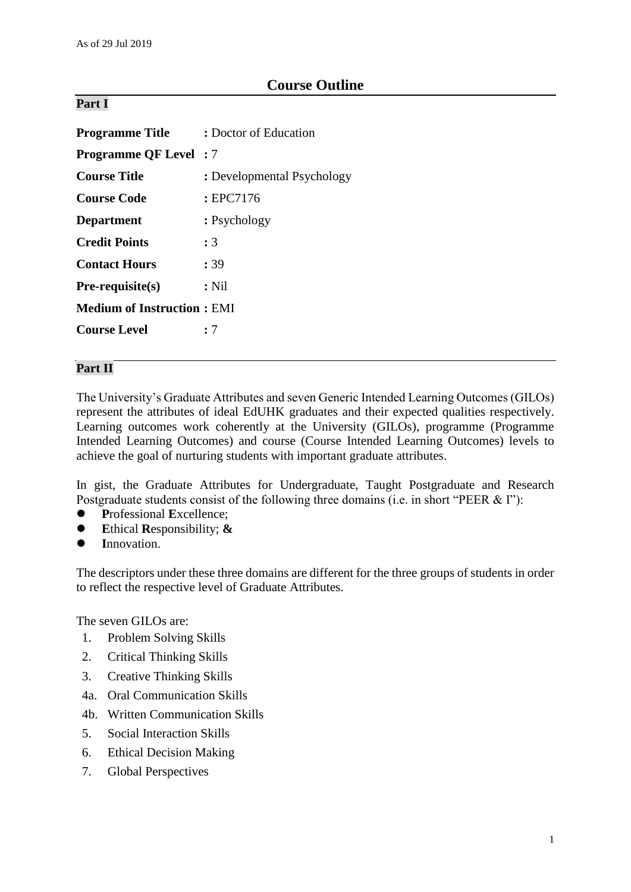# **Course Outline**

## **Part I**

| <b>Programme Title</b>            | : Doctor of Education      |  |
|-----------------------------------|----------------------------|--|
| <b>Programme QF Level</b> : 7     |                            |  |
| <b>Course Title</b>               | : Developmental Psychology |  |
| <b>Course Code</b>                | : EPC7176                  |  |
| <b>Department</b>                 | : Psychology               |  |
| <b>Credit Points</b>              | :3                         |  |
| <b>Contact Hours</b>              | : 39                       |  |
| $Pre-requisite(s)$                | $:$ Nil                    |  |
| <b>Medium of Instruction: EMI</b> |                            |  |
| <b>Course Level</b>               | : 7                        |  |

## **Part II**

The University's Graduate Attributes and seven Generic Intended Learning Outcomes (GILOs) represent the attributes of ideal EdUHK graduates and their expected qualities respectively. Learning outcomes work coherently at the University (GILOs), programme (Programme Intended Learning Outcomes) and course (Course Intended Learning Outcomes) levels to achieve the goal of nurturing students with important graduate attributes.

In gist, the Graduate Attributes for Undergraduate, Taught Postgraduate and Research Postgraduate students consist of the following three domains (i.e. in short "PEER & I"):

- **P**rofessional **E**xcellence;
- **E**thical **R**esponsibility; **&**
- **I**nnovation.

The descriptors under these three domains are different for the three groups of students in order to reflect the respective level of Graduate Attributes.

The seven GILOs are:

- 1. Problem Solving Skills
- 2. Critical Thinking Skills
- 3. Creative Thinking Skills
- 4a. Oral Communication Skills
- 4b. Written Communication Skills
- 5. Social Interaction Skills
- 6. Ethical Decision Making
- 7. Global Perspectives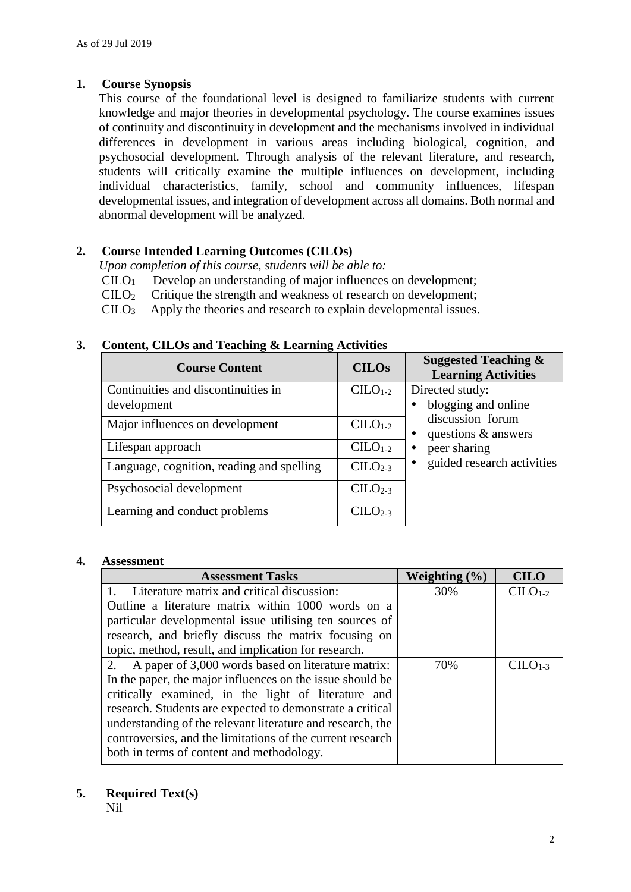## **1. Course Synopsis**

This course of the foundational level is designed to familiarize students with current knowledge and major theories in developmental psychology. The course examines issues of continuity and discontinuity in development and the mechanisms involved in individual differences in development in various areas including biological, cognition, and psychosocial development. Through analysis of the relevant literature, and research, students will critically examine the multiple influences on development, including individual characteristics, family, school and community influences, lifespan developmental issues, and integration of development across all domains. Both normal and abnormal development will be analyzed.

## **2. Course Intended Learning Outcomes (CILOs)**

*Upon completion of this course, students will be able to:*

- CILO<sup>1</sup> Develop an understanding of major influences on development;
- CILO<sup>2</sup> Critique the strength and weakness of research on development;
- CILO<sup>3</sup> Apply the theories and research to explain developmental issues.

| <b>Course Content</b>                     | <b>CILOs</b> | <b>Suggested Teaching &amp;</b><br><b>Learning Activities</b> |
|-------------------------------------------|--------------|---------------------------------------------------------------|
| Continuities and discontinuities in       | $CLLO1-2$    | Directed study:                                               |
| development                               |              | blogging and online                                           |
| Major influences on development           | $CLLO1-2$    | discussion forum<br>questions $\&$ answers                    |
| Lifespan approach                         | $CLLO1-2$    | peer sharing                                                  |
| Language, cognition, reading and spelling | $CLLO2-3$    | guided research activities                                    |
| Psychosocial development                  | $CLLO2-3$    |                                                               |
| Learning and conduct problems             | $CLLO2-3$    |                                                               |

## **3. Content, CILOs and Teaching & Learning Activities**

### **4. Assessment**

| <b>Assessment Tasks</b>                                    | Weighting $(\% )$ | <b>CILO</b>          |
|------------------------------------------------------------|-------------------|----------------------|
| Literature matrix and critical discussion:                 | 30%               | $CLLO1-2$            |
| Outline a literature matrix within 1000 words on a         |                   |                      |
| particular developmental issue utilising ten sources of    |                   |                      |
| research, and briefly discuss the matrix focusing on       |                   |                      |
| topic, method, result, and implication for research.       |                   |                      |
| 2.<br>A paper of 3,000 words based on literature matrix:   | 70%               | $CII$ $\Omega_{1,3}$ |
| In the paper, the major influences on the issue should be  |                   |                      |
| critically examined, in the light of literature and        |                   |                      |
| research. Students are expected to demonstrate a critical  |                   |                      |
| understanding of the relevant literature and research, the |                   |                      |
| controversies, and the limitations of the current research |                   |                      |
| both in terms of content and methodology.                  |                   |                      |

### **5. Required Text(s)**

Nil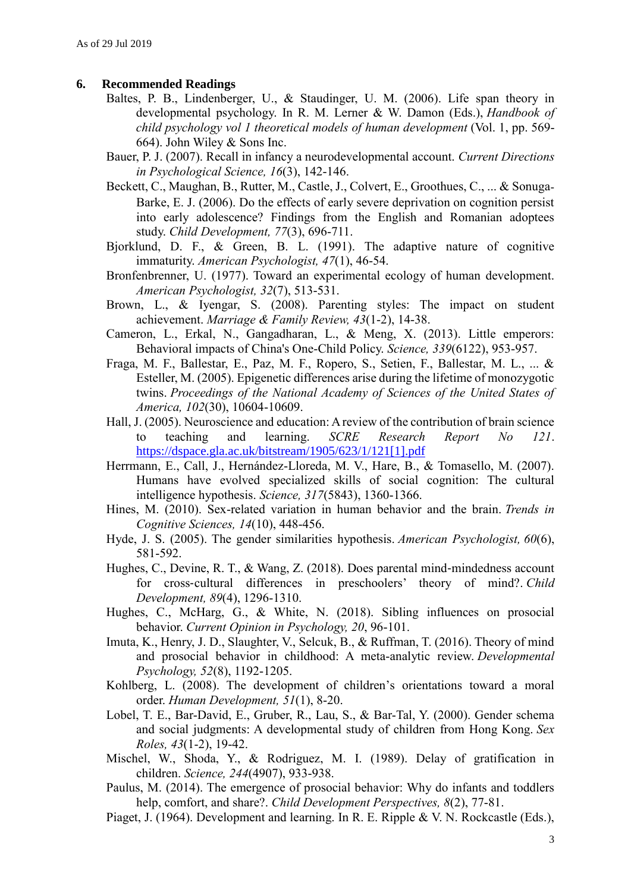#### **6. Recommended Readings**

- Baltes, P. B., Lindenberger, U., & Staudinger, U. M. (2006). Life span theory in developmental psychology. In R. M. Lerner & W. Damon (Eds.), *Handbook of child psychology vol 1 theoretical models of human development* (Vol. 1, pp. 569- 664). John Wiley & Sons Inc.
- Bauer, P. J. (2007). Recall in infancy a neurodevelopmental account. *Current Directions in Psychological Science, 16*(3), 142-146.
- Beckett, C., Maughan, B., Rutter, M., Castle, J., Colvert, E., Groothues, C., ... & Sonuga-Barke, E. J. (2006). Do the effects of early severe deprivation on cognition persist into early adolescence? Findings from the English and Romanian adoptees study. *Child Development, 77*(3), 696-711.
- Bjorklund, D. F., & Green, B. L. (1991). The adaptive nature of cognitive immaturity. *American Psychologist, 47*(1), 46-54.
- Bronfenbrenner, U. (1977). Toward an experimental ecology of human development. *American Psychologist, 32*(7), 513-531.
- Brown, L., & Iyengar, S. (2008). Parenting styles: The impact on student achievement. *Marriage & Family Review, 43*(1-2), 14-38.
- Cameron, L., Erkal, N., Gangadharan, L., & Meng, X. (2013). Little emperors: Behavioral impacts of China's One-Child Policy. *Science, 339*(6122), 953-957.
- Fraga, M. F., Ballestar, E., Paz, M. F., Ropero, S., Setien, F., Ballestar, M. L., ... & Esteller, M. (2005). Epigenetic differences arise during the lifetime of monozygotic twins. *Proceedings of the National Academy of Sciences of the United States of America, 102*(30), 10604-10609.
- Hall, J. (2005). Neuroscience and education: A review of the contribution of brain science to teaching and learning. *SCRE Research Report No 121*. [https://dspace.gla.ac.uk/bitstream/1905/623/1/121\[1\].pdf](https://dspace.gla.ac.uk/bitstream/1905/623/1/121%5b1%5d.pdf)
- Herrmann, E., Call, J., Hernández-Lloreda, M. V., Hare, B., & Tomasello, M. (2007). Humans have evolved specialized skills of social cognition: The cultural intelligence hypothesis. *Science, 317*(5843), 1360-1366.
- Hines, M. (2010). Sex-related variation in human behavior and the brain. *Trends in Cognitive Sciences, 14*(10), 448-456.
- Hyde, J. S. (2005). The gender similarities hypothesis. *American Psychologist, 60*(6), 581-592.
- Hughes, C., Devine, R. T., & Wang, Z. (2018). Does parental mind‐mindedness account for cross-cultural differences in preschoolers' theory of mind?. *Child Development, 89*(4), 1296-1310.
- Hughes, C., McHarg, G., & White, N. (2018). Sibling influences on prosocial behavior. *Current Opinion in Psychology, 20*, 96-101.
- Imuta, K., Henry, J. D., Slaughter, V., Selcuk, B., & Ruffman, T. (2016). Theory of mind and prosocial behavior in childhood: A meta-analytic review. *Developmental Psychology, 52*(8), 1192-1205.
- Kohlberg, L. (2008). The development of children's orientations toward a moral order. *Human Development, 51*(1), 8-20.
- Lobel, T. E., Bar-David, E., Gruber, R., Lau, S., & Bar-Tal, Y. (2000). Gender schema and social judgments: A developmental study of children from Hong Kong. *Sex Roles, 43*(1-2), 19-42.
- Mischel, W., Shoda, Y., & Rodriguez, M. I. (1989). Delay of gratification in children. *Science, 244*(4907), 933-938.
- Paulus, M. (2014). The emergence of prosocial behavior: Why do infants and toddlers help, comfort, and share?. *Child Development Perspectives, 8*(2), 77-81.
- Piaget, J. (1964). Development and learning. In R. E. Ripple & V. N. Rockcastle (Eds.),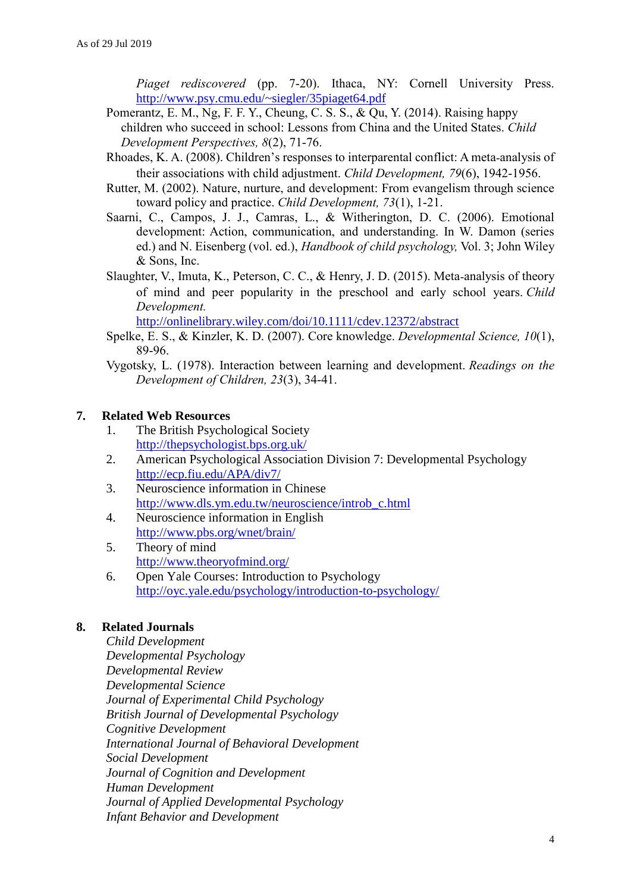*Piaget rediscovered* (pp. 7-20). Ithaca, NY: Cornell University Press. <http://www.psy.cmu.edu/~siegler/35piaget64.pdf>

- Pomerantz, E. M., Ng, F. F. Y., Cheung, C. S. S., & Qu, Y. (2014). Raising happy children who succeed in school: Lessons from China and the United States. *Child Development Perspectives, 8*(2), 71-76.
- Rhoades, K. A. (2008). Children's responses to interparental conflict: A meta‐analysis of their associations with child adjustment. *Child Development, 79*(6), 1942-1956.
- Rutter, M. (2002). Nature, nurture, and development: From evangelism through science toward policy and practice. *Child Development, 73*(1), 1-21.
- Saarni, C., Campos, J. J., Camras, L., & Witherington, D. C. (2006). Emotional development: Action, communication, and understanding. In W. Damon (series ed.) and N. Eisenberg (vol. ed.), *Handbook of child psychology,* Vol. 3; John Wiley & Sons, Inc.
- Slaughter, V., Imuta, K., Peterson, C. C., & Henry, J. D. (2015). Meta-analysis of theory of mind and peer popularity in the preschool and early school years. *Child Development.*

<http://onlinelibrary.wiley.com/doi/10.1111/cdev.12372/abstract>

- Spelke, E. S., & Kinzler, K. D. (2007). Core knowledge. *Developmental Science, 10*(1), 89-96.
- Vygotsky, L. (1978). Interaction between learning and development. *Readings on the Development of Children, 23*(3), 34-41.

### **7. Related Web Resources**

- 1. The British Psychological Society <http://thepsychologist.bps.org.uk/>
- 2. American Psychological Association Division 7: Developmental Psychology <http://ecp.fiu.edu/APA/div7/>
- 3. Neuroscience information in Chinese [http://www.dls.ym.edu.tw/neuroscience/introb\\_c.html](http://www.dls.ym.edu.tw/neuroscience/introb_c.html)
- 4. Neuroscience information in English <http://www.pbs.org/wnet/brain/>
- 5. Theory of mind <http://www.theoryofmind.org/>
- 6. Open Yale Courses: Introduction to Psychology <http://oyc.yale.edu/psychology/introduction-to-psychology/>

### **8. Related Journals**

*Child Development Developmental Psychology Developmental Review Developmental Science Journal of Experimental Child Psychology British Journal of Developmental Psychology Cognitive Development International Journal of Behavioral Development Social Development Journal of Cognition and Development Human Development Journal of Applied Developmental Psychology Infant Behavior and Development*